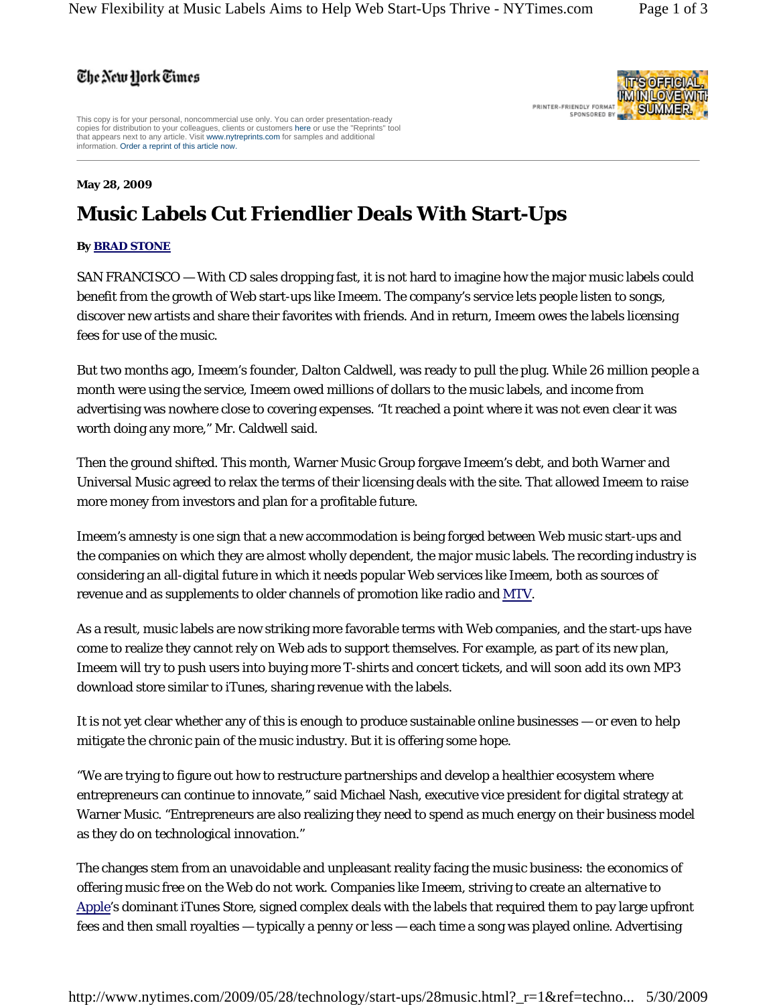## The New York Times

This copy is for your personal, noncommercial use only. You can order presentation-ready<br>copies for distribution to your colleagues, clients or customers here or use the "Reprints" tool<br>that appears next to any article. Vi information. Order a reprint of this article now.

## **May 28, 2009**

## **Music Labels Cut Friendlier Deals With Start-Ups**

## **By BRAD STONE**

SAN FRANCISCO — With CD sales dropping fast, it is not hard to imagine how the major music labels could benefit from the growth of Web start-ups like Imeem. The company's service lets people listen to songs, discover new artists and share their favorites with friends. And in return, Imeem owes the labels licensing fees for use of the music.

But two months ago, Imeem's founder, Dalton Caldwell, was ready to pull the plug. While 26 million people a month were using the service, Imeem owed millions of dollars to the music labels, and income from advertising was nowhere close to covering expenses. "It reached a point where it was not even clear it was worth doing any more," Mr. Caldwell said.

Then the ground shifted. This month, Warner Music Group forgave Imeem's debt, and both Warner and Universal Music agreed to relax the terms of their licensing deals with the site. That allowed Imeem to raise more money from investors and plan for a profitable future.

Imeem's amnesty is one sign that a new accommodation is being forged between Web music start-ups and the companies on which they are almost wholly dependent, the major music labels. The recording industry is considering an all-digital future in which it needs popular Web services like Imeem, both as sources of revenue and as supplements to older channels of promotion like radio and MTV.

As a result, music labels are now striking more favorable terms with Web companies, and the start-ups have come to realize they cannot rely on Web ads to support themselves. For example, as part of its new plan, Imeem will try to push users into buying more T-shirts and concert tickets, and will soon add its own MP3 download store similar to iTunes, sharing revenue with the labels.

It is not yet clear whether any of this is enough to produce sustainable online businesses — or even to help mitigate the chronic pain of the music industry. But it is offering some hope.

"We are trying to figure out how to restructure partnerships and develop a healthier ecosystem where entrepreneurs can continue to innovate," said Michael Nash, executive vice president for digital strategy at Warner Music. "Entrepreneurs are also realizing they need to spend as much energy on their business model as they do on technological innovation."

The changes stem from an unavoidable and unpleasant reality facing the music business: the economics of offering music free on the Web do not work. Companies like Imeem, striving to create an alternative to Apple's dominant iTunes Store, signed complex deals with the labels that required them to pay large upfront fees and then small royalties — typically a penny or less — each time a song was played online. Advertising

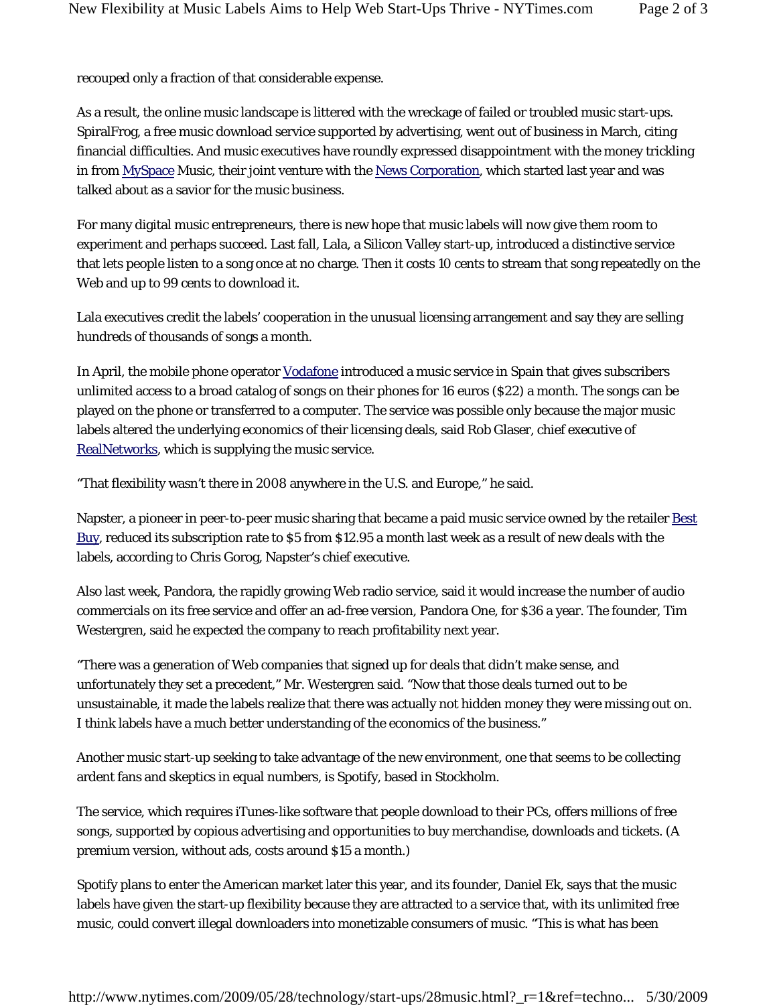recouped only a fraction of that considerable expense.

As a result, the online music landscape is littered with the wreckage of failed or troubled music start-ups. SpiralFrog, a free music download service supported by advertising, went out of business in March, citing financial difficulties. And music executives have roundly expressed disappointment with the money trickling in from MySpace Music, their joint venture with the News Corporation, which started last year and was talked about as a savior for the music business.

For many digital music entrepreneurs, there is new hope that music labels will now give them room to experiment and perhaps succeed. Last fall, Lala, a Silicon Valley start-up, introduced a distinctive service that lets people listen to a song once at no charge. Then it costs 10 cents to stream that song repeatedly on the Web and up to 99 cents to download it.

Lala executives credit the labels' cooperation in the unusual licensing arrangement and say they are selling hundreds of thousands of songs a month.

In April, the mobile phone operator Vodafone introduced a music service in Spain that gives subscribers unlimited access to a broad catalog of songs on their phones for 16 euros (\$22) a month. The songs can be played on the phone or transferred to a computer. The service was possible only because the major music labels altered the underlying economics of their licensing deals, said Rob Glaser, chief executive of RealNetworks, which is supplying the music service.

"That flexibility wasn't there in 2008 anywhere in the U.S. and Europe," he said.

Napster, a pioneer in peer-to-peer music sharing that became a paid music service owned by the retailer Best Buy, reduced its subscription rate to \$5 from \$12.95 a month last week as a result of new deals with the labels, according to Chris Gorog, Napster's chief executive.

Also last week, Pandora, the rapidly growing Web radio service, said it would increase the number of audio commercials on its free service and offer an ad-free version, Pandora One, for \$36 a year. The founder, Tim Westergren, said he expected the company to reach profitability next year.

"There was a generation of Web companies that signed up for deals that didn't make sense, and unfortunately they set a precedent," Mr. Westergren said. "Now that those deals turned out to be unsustainable, it made the labels realize that there was actually not hidden money they were missing out on. I think labels have a much better understanding of the economics of the business."

Another music start-up seeking to take advantage of the new environment, one that seems to be collecting ardent fans and skeptics in equal numbers, is Spotify, based in Stockholm.

The service, which requires iTunes-like software that people download to their PCs, offers millions of free songs, supported by copious advertising and opportunities to buy merchandise, downloads and tickets. (A premium version, without ads, costs around \$15 a month.)

Spotify plans to enter the American market later this year, and its founder, Daniel Ek, says that the music labels have given the start-up flexibility because they are attracted to a service that, with its unlimited free music, could convert illegal downloaders into monetizable consumers of music. "This is what has been